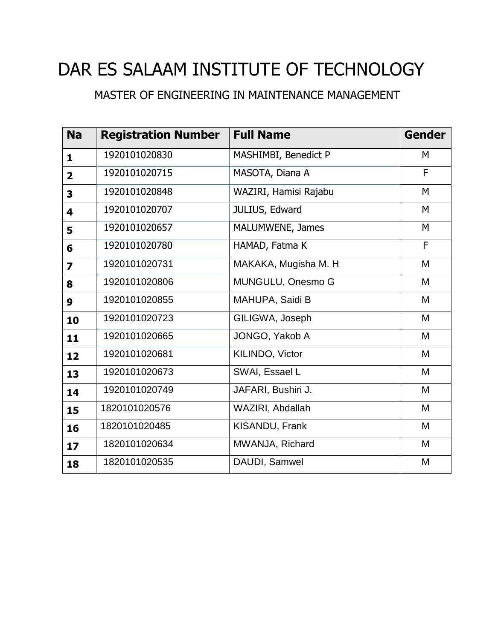# DAR ES SALAAM INSTITUTE OF TECHNOLOGY

### MASTER OF ENGINEERING IN MAINTENANCE MANAGEMENT

| <b>Na</b>               | <b>Registration Number</b> | <b>Full Name</b>      | <b>Gender</b> |
|-------------------------|----------------------------|-----------------------|---------------|
| $\mathbf{1}$            | 1920101020830              | MASHIMBI, Benedict P  | M             |
| $\overline{\mathbf{2}}$ | 1920101020715              | MASOTA, Diana A       | F             |
| 3                       | 1920101020848              | WAZIRI, Hamisi Rajabu | M             |
| 4                       | 1920101020707              | JULIUS, Edward        | M             |
| 5                       | 1920101020657              | MALUMWENE, James      | M             |
| 6                       | 1920101020780              | HAMAD, Fatma K        | F             |
| 7                       | 1920101020731              | MAKAKA, Mugisha M. H  | M             |
| 8                       | 1920101020806              | MUNGULU, Onesmo G     | M             |
| 9                       | 1920101020855              | MAHUPA, Saidi B       | M             |
| 10                      | 1920101020723              | GILIGWA, Joseph       | M             |
| 11                      | 1920101020665              | JONGO, Yakob A        | M             |
| 12                      | 1920101020681              | KILINDO, Victor       | M             |
| 13                      | 1920101020673              | SWAI, Essael L        | M             |
| 14                      | 1920101020749              | JAFARI, Bushiri J.    | M             |
| 15                      | 1820101020576              | WAZIRI, Abdallah      | M             |
| 16                      | 1820101020485              | KISANDU, Frank        | M             |
| 17                      | 1820101020634              | MWANJA, Richard       | M             |
| 18                      | 1820101020535              | DAUDI, Samwel         | M             |